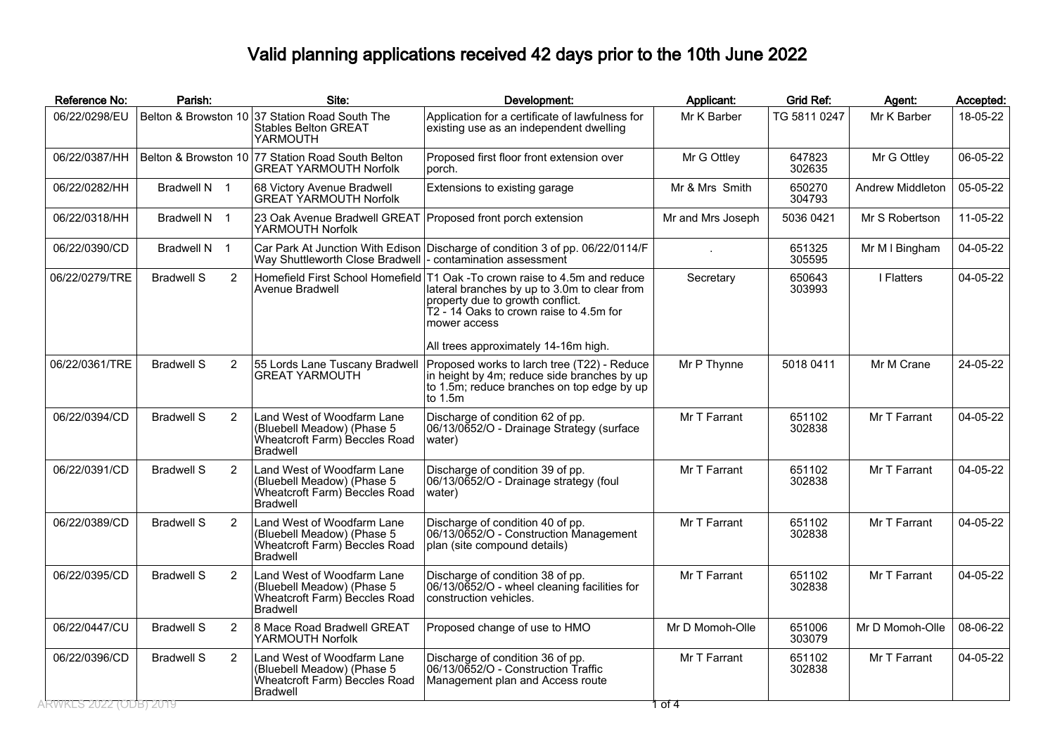## Valid planning applications received 42 days prior to the 10th June 2022

| Reference No:          | Parish:           |                | Site:                                                                                                         | Development:                                                                                                                                                                                                              | Applicant:        | <b>Grid Ref:</b> | Agent:           | Accepted: |
|------------------------|-------------------|----------------|---------------------------------------------------------------------------------------------------------------|---------------------------------------------------------------------------------------------------------------------------------------------------------------------------------------------------------------------------|-------------------|------------------|------------------|-----------|
| 06/22/0298/EU          |                   |                | Belton & Browston 10 37 Station Road South The<br><b>Stables Belton GREAT</b><br>YARMOUTH                     | Application for a certificate of lawfulness for<br>existing use as an independent dwelling                                                                                                                                | Mr K Barber       | TG 5811 0247     | Mr K Barber      | 18-05-22  |
| 06/22/0387/HH          |                   |                | Belton & Browston 10 77 Station Road South Belton<br><b>GREAT YARMOUTH Norfolk</b>                            | Proposed first floor front extension over<br>porch.                                                                                                                                                                       | Mr G Ottley       | 647823<br>302635 | Mr G Ottley      | 06-05-22  |
| 06/22/0282/HH          | Bradwell N 1      |                | 68 Victory Avenue Bradwell<br><b>GREAT ÝARMOUTH Norfolk</b>                                                   | Extensions to existing garage                                                                                                                                                                                             | Mr & Mrs Smith    | 650270<br>304793 | Andrew Middleton | 05-05-22  |
| 06/22/0318/HH          | Bradwell N 1      |                | 23 Oak Avenue Bradwell GREAT Proposed front porch extension<br>YARMOUTH Norfolk                               |                                                                                                                                                                                                                           | Mr and Mrs Joseph | 5036 0421        | Mr S Robertson   | 11-05-22  |
| 06/22/0390/CD          | Bradwell N 1      |                | Way Shuttleworth Close Bradwell                                                                               | Car Park At Junction With Edison Discharge of condition 3 of pp. 06/22/0114/F<br>l- contamination assessment                                                                                                              |                   | 651325<br>305595 | Mr M I Bingham   | 04-05-22  |
| 06/22/0279/TRE         | <b>Bradwell S</b> | $\overline{2}$ | Avenue Bradwell                                                                                               | Homefield First School Homefield T1 Oak -To crown raise to 4.5m and reduce<br>lateral branches by up to 3.0m to clear from<br>property due to growth conflict.<br>T2 - 14 Oaks to crown raise to 4.5m for<br>mower access | Secretary         | 650643<br>303993 | I Flatters       | 04-05-22  |
|                        |                   |                |                                                                                                               | All trees approximately 14-16m high.                                                                                                                                                                                      |                   |                  |                  |           |
| 06/22/0361/TRE         | <b>Bradwell S</b> | $\overline{2}$ | 55 Lords Lane Tuscany Bradwell<br><b>GREAT YARMOUTH</b>                                                       | Proposed works to larch tree (T22) - Reduce<br>in height by 4m; reduce side branches by up<br>to 1.5m; reduce branches on top edge by up<br>lto 1.5m                                                                      | Mr P Thynne       | 5018 0411        | Mr M Crane       | 24-05-22  |
| 06/22/0394/CD          | <b>Bradwell S</b> | $\overline{2}$ | Land West of Woodfarm Lane<br>(Bluebell Meadow) (Phase 5<br>Wheatcroft Farm) Beccles Road<br><b>Bradwell</b>  | Discharge of condition 62 of pp.<br>06/13/0652/O - Drainage Strategy (surface<br>(water                                                                                                                                   | Mr T Farrant      | 651102<br>302838 | Mr T Farrant     | 04-05-22  |
| 06/22/0391/CD          | <b>Bradwell S</b> | $\overline{2}$ | Land West of Woodfarm Lane<br>(Bluebell Meadow) (Phase 5<br>Wheatcroft Farm) Beccles Road<br><b>Bradwell</b>  | Discharge of condition 39 of pp.<br>06/13/0652/O - Drainage strategy (foul<br>water)                                                                                                                                      | Mr T Farrant      | 651102<br>302838 | Mr T Farrant     | 04-05-22  |
| 06/22/0389/CD          | <b>Bradwell S</b> | $\overline{2}$ | Land West of Woodfarm Lane<br>(Bluebell Meadow) (Phase 5<br>Wheatcroft Farm) Beccles Road<br><b>Bradwell</b>  | Discharge of condition 40 of pp.<br> 06/13/0652/O - Construction Management<br>plan (site compound details)                                                                                                               | Mr T Farrant      | 651102<br>302838 | Mr T Farrant     | 04-05-22  |
| 06/22/0395/CD          | <b>Bradwell S</b> | $\overline{2}$ | Land West of Woodfarm Lane<br>(Bluebell Meadow) (Phase 5)<br>Wheatcroft Farm) Beccles Road<br><b>Bradwell</b> | Discharge of condition 38 of pp.<br>06/13/0652/O - wheel cleaning facilities for<br>construction vehicles.                                                                                                                | Mr T Farrant      | 651102<br>302838 | Mr T Farrant     | 04-05-22  |
| 06/22/0447/CU          | <b>Bradwell S</b> | $\overline{2}$ | 8 Mace Road Bradwell GREAT<br>YARMOUTH Norfolk                                                                | Proposed change of use to HMO                                                                                                                                                                                             | Mr D Momoh-Olle   | 651006<br>303079 | Mr D Momoh-Olle  | 08-06-22  |
| 06/22/0396/CD          | <b>Bradwell S</b> | $\overline{2}$ | Land West of Woodfarm Lane<br>(Bluebell Meadow) (Phase 5<br>Wheatcroft Farm) Beccles Road<br><b>Bradwell</b>  | Discharge of condition 36 of pp.<br>06/13/0652/O - Construction Traffic<br>Management plan and Access route                                                                                                               | Mr T Farrant      | 651102<br>302838 | Mr T Farrant     | 04-05-22  |
| ARWKES 2022 (ODB) 2019 |                   |                |                                                                                                               |                                                                                                                                                                                                                           | 1 of 4            |                  |                  |           |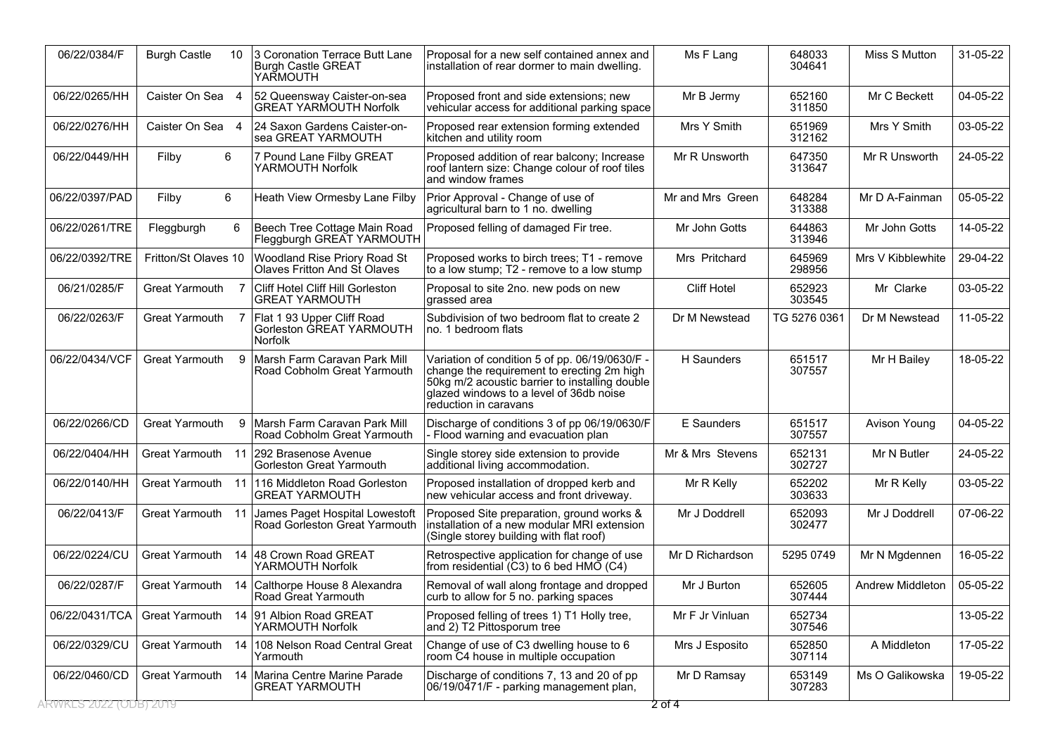| 06/22/0384/F                        | <b>Burgh Castle</b>   | 10  | 3 Coronation Terrace Butt Lane<br><b>Burgh Castle GREAT</b><br>YARMOUTH | Proposal for a new self contained annex and<br>installation of rear dormer to main dwelling.                                                                                                                       | Ms F Lang          | 648033<br>304641 | Miss S Mutton     | 31-05-22 |
|-------------------------------------|-----------------------|-----|-------------------------------------------------------------------------|--------------------------------------------------------------------------------------------------------------------------------------------------------------------------------------------------------------------|--------------------|------------------|-------------------|----------|
| 06/22/0265/HH                       | Caister On Sea 4      |     | 52 Queensway Caister-on-sea<br><b>GREAT YARMOUTH Norfolk</b>            | Proposed front and side extensions; new<br>vehicular access for additional parking space                                                                                                                           | Mr B Jermy         | 652160<br>311850 | Mr C Beckett      | 04-05-22 |
| 06/22/0276/HH                       | Caister On Sea 4      |     | 24 Saxon Gardens Caister-on-<br>sea GREAT YARMOUTH                      | Proposed rear extension forming extended<br>kitchen and utility room                                                                                                                                               | Mrs Y Smith        | 651969<br>312162 | Mrs Y Smith       | 03-05-22 |
| 06/22/0449/HH                       | Filby                 | 6   | 7 Pound Lane Filby GREAT<br>YARMOUTH Norfolk                            | Proposed addition of rear balcony; Increase<br>roof lantern size: Change colour of roof tiles<br>and window frames                                                                                                 | Mr R Unsworth      | 647350<br>313647 | Mr R Unsworth     | 24-05-22 |
| 06/22/0397/PAD                      | Filby                 | 6   | Heath View Ormesby Lane Filby                                           | Prior Approval - Change of use of<br>agricultural barn to 1 no. dwelling                                                                                                                                           | Mr and Mrs Green   | 648284<br>313388 | Mr D A-Fainman    | 05-05-22 |
| 06/22/0261/TRE                      | Fleggburgh            | 6   | Beech Tree Cottage Main Road<br>Fleggburgh GREAT YARMOUTH               | Proposed felling of damaged Fir tree.                                                                                                                                                                              | Mr John Gotts      | 644863<br>313946 | Mr John Gotts     | 14-05-22 |
| 06/22/0392/TRE                      | Fritton/St Olaves 10  |     | Woodland Rise Priory Road St<br><b>Olaves Fritton And St Olaves</b>     | Proposed works to birch trees; T1 - remove<br>to a low stump; T2 - remove to a low stump                                                                                                                           | Mrs Pritchard      | 645969<br>298956 | Mrs V Kibblewhite | 29-04-22 |
| 06/21/0285/F                        | <b>Great Yarmouth</b> |     | Cliff Hotel Cliff Hill Gorleston<br><b>GREAT YARMOUTH</b>               | Proposal to site 2no. new pods on new<br>grassed area                                                                                                                                                              | <b>Cliff Hotel</b> | 652923<br>303545 | Mr Clarke         | 03-05-22 |
| 06/22/0263/F                        | <b>Great Yarmouth</b> |     | Flat 1 93 Upper Cliff Road<br>Gorleston GREAT YARMOUTH<br>Norfolk       | Subdivision of two bedroom flat to create 2<br>no. 1 bedroom flats                                                                                                                                                 | Dr M Newstead      | TG 5276 0361     | Dr M Newstead     | 11-05-22 |
| 06/22/0434/VCF                      | <b>Great Yarmouth</b> | 9   | Marsh Farm Caravan Park Mill<br>Road Cobholm Great Yarmouth             | Variation of condition 5 of pp. 06/19/0630/F -<br>change the requirement to erecting 2m high<br>50kg m/2 acoustic barrier to installing double<br>glazed windows to a level of 36db noise<br>reduction in caravans | H Saunders         | 651517<br>307557 | Mr H Bailey       | 18-05-22 |
| 06/22/0266/CD                       | <b>Great Yarmouth</b> | 9   | Marsh Farm Caravan Park Mill<br>Road Cobholm Great Yarmouth             | Discharge of conditions 3 of pp 06/19/0630/F<br>Flood warning and evacuation plan                                                                                                                                  | E Saunders         | 651517<br>307557 | Avison Young      | 04-05-22 |
| 06/22/0404/HH                       | Great Yarmouth        |     | 11 292 Brasenose Avenue<br><b>Gorleston Great Yarmouth</b>              | Single storey side extension to provide<br>additional living accommodation.                                                                                                                                        | Mr & Mrs Stevens   | 652131<br>302727 | Mr N Butler       | 24-05-22 |
| 06/22/0140/HH                       | Great Yarmouth        |     | 11 116 Middleton Road Gorleston<br><b>GREAT YARMOUTH</b>                | Proposed installation of dropped kerb and<br>new vehicular access and front driveway.                                                                                                                              | Mr R Kelly         | 652202<br>303633 | Mr R Kelly        | 03-05-22 |
| 06/22/0413/F                        | Great Yarmouth        | -11 | James Paget Hospital Lowestoft<br>Road Gorleston Great Yarmouth         | Proposed Site preparation, ground works &<br>installation of a new modular MRI extension<br>(Single storey building with flat roof)                                                                                | Mr J Doddrell      | 652093<br>302477 | Mr J Doddrell     | 07-06-22 |
| 06/22/0224/CU                       | Great Yarmouth        |     | 14 48 Crown Road GREAT<br>YARMOUTH Norfolk                              | Retrospective application for change of use<br>from residential (C3) to 6 bed HMO (C4)                                                                                                                             | Mr D Richardson    | 5295 0749        | Mr N Mgdennen     | 16-05-22 |
| 06/22/0287/F                        | Great Yarmouth        | 14  | Calthorpe House 8 Alexandra<br>Road Great Yarmouth                      | Removal of wall along frontage and dropped<br>curb to allow for 5 no. parking spaces                                                                                                                               | Mr J Burton        | 652605<br>307444 | Andrew Middleton  | 05-05-22 |
| 06/22/0431/TCA                      | Great Yarmouth        |     | 14 91 Albion Road GREAT<br>YARMOUTH Norfolk                             | Proposed felling of trees 1) T1 Holly tree,<br>and 2) T2 Pittosporum tree                                                                                                                                          | Mr F Jr Vinluan    | 652734<br>307546 |                   | 13-05-22 |
| 06/22/0329/CU                       | <b>Great Yarmouth</b> |     | 14 108 Nelson Road Central Great<br>Yarmouth                            | Change of use of C3 dwelling house to 6<br>room C4 house in multiple occupation                                                                                                                                    | Mrs J Esposito     | 652850<br>307114 | A Middleton       | 17-05-22 |
| 06/22/0460/CD                       | Great Yarmouth        |     | 14   Marina Centre Marine Parade<br><b>GREAT YARMOUTH</b>               | Discharge of conditions 7, 13 and 20 of pp<br>06/19/0471/F - parking management plan,                                                                                                                              | Mr D Ramsay        | 653149<br>307283 | Ms O Galikowska   | 19-05-22 |
| \RWKLS <sup>-</sup> 2022 (ODB) 2019 |                       |     |                                                                         |                                                                                                                                                                                                                    | 2 of 4             |                  |                   |          |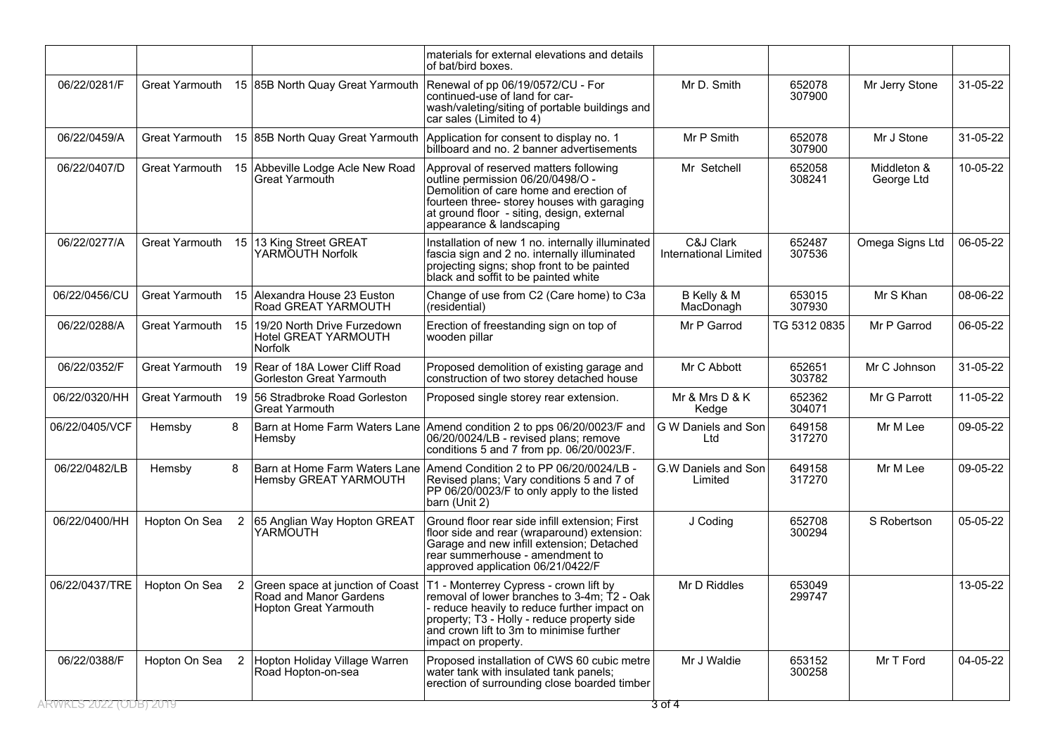|                       |                       |                |                                                                                     | materials for external elevations and details<br>of bat/bird boxes.                                                                                                                                                                                     |                                           |                  |                           |          |
|-----------------------|-----------------------|----------------|-------------------------------------------------------------------------------------|---------------------------------------------------------------------------------------------------------------------------------------------------------------------------------------------------------------------------------------------------------|-------------------------------------------|------------------|---------------------------|----------|
| 06/22/0281/F          | Great Yarmouth        |                | 15 85B North Quay Great Yarmouth                                                    | Renewal of pp 06/19/0572/CU - For<br>continued-use of land for car-<br>wash/valeting/siting of portable buildings and<br>car sales (Limited to 4)                                                                                                       | Mr D. Smith                               | 652078<br>307900 | Mr Jerry Stone            | 31-05-22 |
| 06/22/0459/A          | Great Yarmouth        |                | 15 85B North Quay Great Yarmouth                                                    | Application for consent to display no. 1<br>billboard and no. 2 banner advertisements                                                                                                                                                                   | Mr P Smith                                | 652078<br>307900 | Mr J Stone                | 31-05-22 |
| 06/22/0407/D          | Great Yarmouth        | 15             | Abbeville Lodge Acle New Road<br>Great Yarmouth                                     | Approval of reserved matters following<br>outline permission 06/20/0498/O -<br>Demolition of care home and erection of<br>fourteen three-storey houses with garaging<br>at ground floor - siting, design, external<br>appearance & landscaping          | Mr Setchell                               | 652058<br>308241 | Middleton &<br>George Ltd | 10-05-22 |
| 06/22/0277/A          | Great Yarmouth        | 15             | 13 King Street GREAT<br>YARMOUTH Norfolk                                            | Installation of new 1 no. internally illuminated<br>fascia sign and 2 no. internally illuminated<br>projecting signs; shop front to be painted<br>black and soffit to be painted white                                                                  | C&J Clark<br><b>International Limited</b> | 652487<br>307536 | Omega Signs Ltd           | 06-05-22 |
| 06/22/0456/CU         | <b>Great Yarmouth</b> |                | 15 Alexandra House 23 Euston<br>Road GREAT YARMOUTH                                 | Change of use from C2 (Care home) to C3a<br>(residential)                                                                                                                                                                                               | B Kelly & M<br>MacDonagh                  | 653015<br>307930 | Mr S Khan                 | 08-06-22 |
| 06/22/0288/A          | <b>Great Yarmouth</b> | 15             | 19/20 North Drive Furzedown<br>Hotel GREAT YARMOUTH<br><b>Norfolk</b>               | Erection of freestanding sign on top of<br>wooden pillar                                                                                                                                                                                                | Mr P Garrod                               | TG 5312 0835     | Mr P Garrod               | 06-05-22 |
| 06/22/0352/F          | Great Yarmouth        | 19             | Rear of 18A Lower Cliff Road<br>Gorleston Great Yarmouth                            | Proposed demolition of existing garage and<br>construction of two storey detached house                                                                                                                                                                 | Mr C Abbott                               | 652651<br>303782 | Mr C Johnson              | 31-05-22 |
| 06/22/0320/HH         | Great Yarmouth        | 19             | 56 Stradbroke Road Gorleston<br><b>Great Yarmouth</b>                               | Proposed single storey rear extension.                                                                                                                                                                                                                  | Mr & Mrs D & K<br>Kedge                   | 652362<br>304071 | Mr G Parrott              | 11-05-22 |
| 06/22/0405/VCF        | Hemsby                | 8              | Hemsby                                                                              | Barn at Home Farm Waters Lane Amend condition 2 to pps 06/20/0023/F and<br>06/20/0024/LB - revised plans; remove<br>conditions 5 and 7 from pp. 06/20/0023/F.                                                                                           | G W Daniels and Son<br>Ltd                | 649158<br>317270 | Mr M Lee                  | 09-05-22 |
| 06/22/0482/LB         | Hemsby                | 8              | <b>Hemsby GREAT YARMOUTH</b>                                                        | Barn at Home Farm Waters Lane Amend Condition 2 to PP 06/20/0024/LB -<br>Revised plans; Vary conditions 5 and 7 of<br>PP 06/20/0023/F to only apply to the listed<br>barn (Unit 2)                                                                      | G.W Daniels and Son<br>Limited            | 649158<br>317270 | Mr M Lee                  | 09-05-22 |
| 06/22/0400/HH         | Hopton On Sea         | $\overline{2}$ | 65 Anglian Way Hopton GREAT<br>YARMOUTH                                             | Ground floor rear side infill extension; First<br>floor side and rear (wraparound) extension:<br>Garage and new infill extension; Detached<br>rear summerhouse - amendment to<br>approved application 06/21/0422/F                                      | J Coding                                  | 652708<br>300294 | S Robertson               | 05-05-22 |
| 06/22/0437/TRE        | Hopton On Sea         | 2              | Green space at junction of Coast<br>Road and Manor Gardens<br>Hopton Great Yarmouth | T1 - Monterrey Cypress - crown lift by<br>removal of lower branches to 3-4m; T2 - Oak<br>- reduce heavily to reduce further impact on<br>property; T3 - Holly - reduce property side<br>and crown lift to 3m to minimise further<br>impact on property. | Mr D Riddles                              | 653049<br>299747 |                           | 13-05-22 |
| 06/22/0388/F          | Hopton On Sea         | 2              | Hopton Holiday Village Warren<br>Road Hopton-on-sea                                 | Proposed installation of CWS 60 cubic metre<br>water tank with insulated tank panels;<br>erection of surrounding close boarded timber                                                                                                                   | Mr J Waldie                               | 653152<br>300258 | Mr T Ford                 | 04-05-22 |
| RWKES 2022 (ODB) 2019 |                       |                |                                                                                     |                                                                                                                                                                                                                                                         | 3 of 4                                    |                  |                           |          |